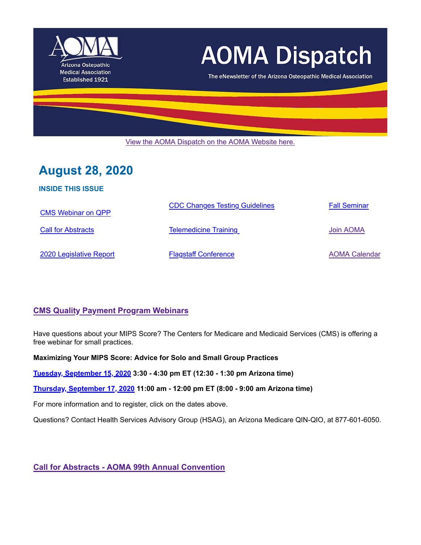

# **AOMA Dispatch**

The eNewsletter of the Arizona Osteopathic Medical Association

View the AOMA Dispatch on the AOMA Website here.

# **August 28, 2020**

**INSIDE THIS ISSUE**

| <b>CMS Webinar on QPP</b> | <b>CDC Changes Testing Guidelines</b> | <b>Fall Seminar</b>  |
|---------------------------|---------------------------------------|----------------------|
| <b>Call for Abstracts</b> | <b>Telemedicine Training</b>          | Join AOMA            |
| 2020 Legislative Report   | <b>Flagstaff Conference</b>           | <b>AOMA Calendar</b> |

# **CMS Quality Payment Program Webinars**

Have questions about your MIPS Score? The Centers for Medicare and Medicaid Services (CMS) is offering a free webinar for small practices.

**Maximizing Your MIPS Score: Advice for Solo and Small Group Practices**

**Tuesday, September 15, 2020 3:30 - 4:30 pm ET (12:30 - 1:30 pm Arizona time)** 

**Thursday, September 17, 2020 11:00 am - 12:00 pm ET (8:00 - 9:00 am Arizona time)**

For more information and to register, click on the dates above.

Questions? Contact Health Services Advisory Group (HSAG), an Arizona Medicare QIN-QIO, at 877-601-6050.

**Call for Abstracts - AOMA 99th Annual Convention**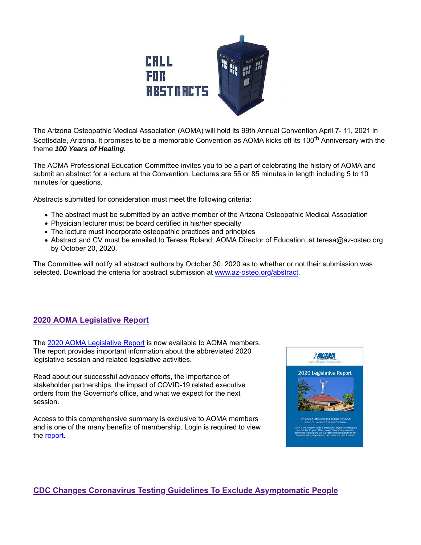

The Arizona Osteopathic Medical Association (AOMA) will hold its 99th Annual Convention April 7- 11, 2021 in Scottsdale, Arizona. It promises to be a memorable Convention as AOMA kicks off its 100<sup>th</sup> Anniversary with the theme *100 Years of Healing.* 

The AOMA Professional Education Committee invites you to be a part of celebrating the history of AOMA and submit an abstract for a lecture at the Convention. Lectures are 55 or 85 minutes in length including 5 to 10 minutes for questions.

Abstracts submitted for consideration must meet the following criteria:

- The abstract must be submitted by an active member of the Arizona Osteopathic Medical Association
- Physician lecturer must be board certified in his/her specialty
- The lecture must incorporate osteopathic practices and principles
- Abstract and CV must be emailed to Teresa Roland, AOMA Director of Education, at teresa@az-osteo.org by October 20, 2020.

The Committee will notify all abstract authors by October 30, 2020 as to whether or not their submission was selected. Download the criteria for abstract submission at www.az-osteo.org/abstract.

# **2020 AOMA Legislative Report**

The 2020 AOMA Legislative Report is now available to AOMA members. The report provides important information about the abbreviated 2020 legislative session and related legislative activities.

Read about our successful advocacy efforts, the importance of stakeholder partnerships, the impact of COVID-19 related executive orders from the Governor's office, and what we expect for the next session.

Access to this comprehensive summary is exclusive to AOMA members and is one of the many benefits of membership. Login is required to view the report.



# **CDC Changes Coronavirus Testing Guidelines To Exclude Asymptomatic People**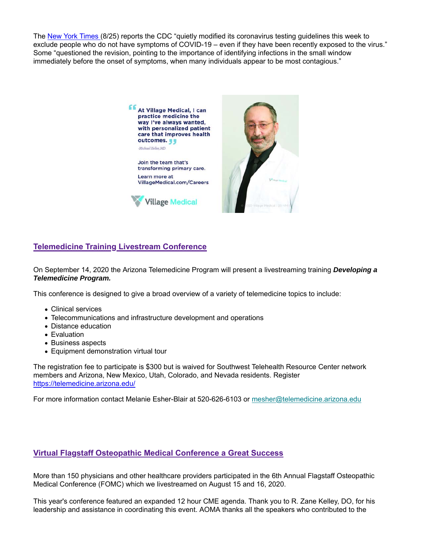The New York Times (8/25) reports the CDC "quietly modified its coronavirus testing guidelines this week to exclude people who do not have symptoms of COVID-19 – even if they have been recently exposed to the virus." Some "questioned the revision, pointing to the importance of identifying infections in the small window immediately before the onset of symptoms, when many individuals appear to be most contagious."



# **Telemedicine Training Livestream Conference**

On September 14, 2020 the Arizona Telemedicine Program will present a livestreaming training *Developing a Telemedicine Program.*

This conference is designed to give a broad overview of a variety of telemedicine topics to include:

- Clinical services
- Telecommunications and infrastructure development and operations
- Distance education
- Evaluation
- Business aspects
- Equipment demonstration virtual tour

The registration fee to participate is \$300 but is waived for Southwest Telehealth Resource Center network members and Arizona, New Mexico, Utah, Colorado, and Nevada residents. Register https://telemedicine.arizona.edu/

For more information contact Melanie Esher-Blair at 520-626-6103 or mesher@telemedicine.arizona.edu

#### **Virtual Flagstaff Osteopathic Medical Conference a Great Success**

More than 150 physicians and other healthcare providers participated in the 6th Annual Flagstaff Osteopathic Medical Conference (FOMC) which we livestreamed on August 15 and 16, 2020.

This year's conference featured an expanded 12 hour CME agenda. Thank you to R. Zane Kelley, DO, for his leadership and assistance in coordinating this event. AOMA thanks all the speakers who contributed to the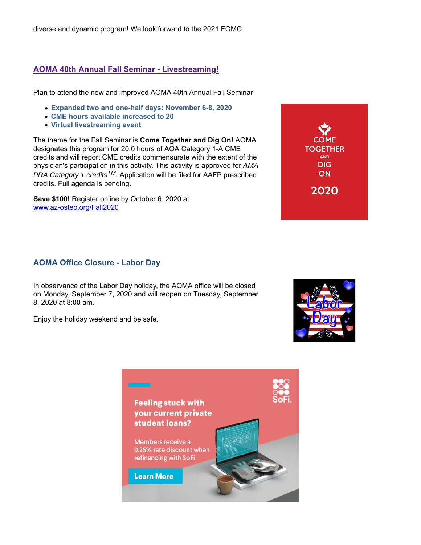diverse and dynamic program! We look forward to the 2021 FOMC.

### **AOMA 40th Annual Fall Seminar - Livestreaming!**

Plan to attend the new and improved AOMA 40th Annual Fall Seminar

- **Expanded two and one-half days: November 6-8, 2020**
- **CME hours available increased to 20**
- **Virtual livestreaming event**

The theme for the Fall Seminar is **Come Together and Dig On!** AOMA designates this program for 20.0 hours of AOA Category 1-A CME credits and will report CME credits commensurate with the extent of the physician's participation in this activity. This activity is approved for *AMA PRA Category 1 creditsTM.* Application will be filed for AAFP prescribed credits. Full agenda is pending.

**Save \$100!** Register online by October 6, 2020 at www.az-osteo.org/Fall2020

#### **AOMA Office Closure - Labor Day**

In observance of the Labor Day holiday, the AOMA office will be closed on Monday, September 7, 2020 and will reopen on Tuesday, September 8, 2020 at 8:00 am.

Enjoy the holiday weekend and be safe.